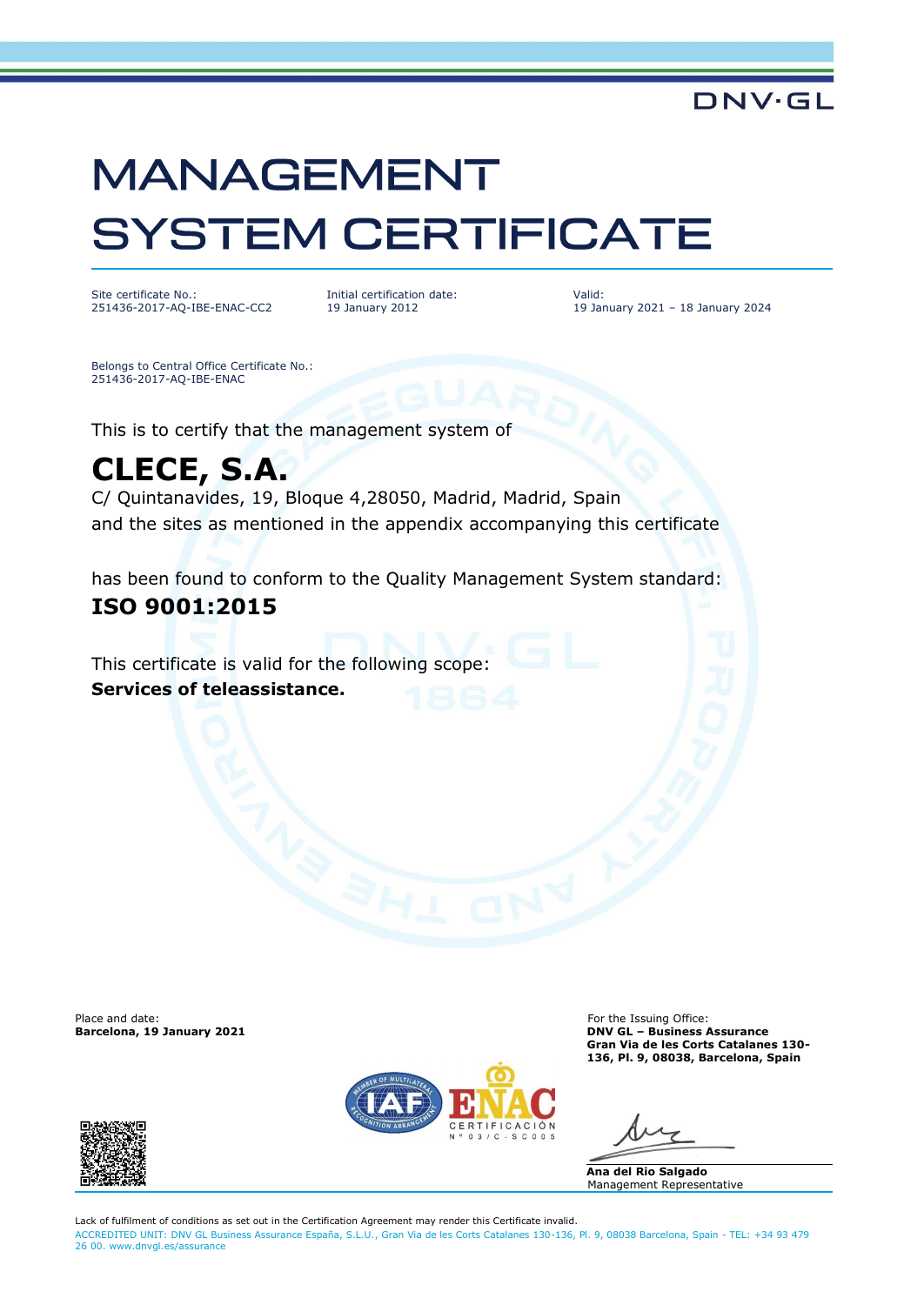# **MANAGEMENT SYSTEM CERTIFICATE**

Site certificate No.: 251436-2017-AQ-IBE-ENAC-CC2 Initial certification date: 19 January 2012

Valid: 19 January 2021 – 18 January 2024

**DNV·GL** 

Belongs to Central Office Certificate No.: 251436-2017-AQ-IBE-ENAC

This is to certify that the management system of

## **CLECE, S.A.**

C/ Quintanavides, 19, Bloque 4,28050, Madrid, Madrid, Spain and the sites as mentioned in the appendix accompanying this certificate

has been found to conform to the Quality Management System standard:

### **ISO 9001:2015**

This certificate is valid for the following scope: **Services of teleassistance.**

Place and date: For the Issuing Office: For the Issuing Office: For the Issuing Office: For the Issuing Office:  $\blacksquare$ 



**Barcelona, 19 January 2021 DNV GL – Business Assurance Gran Via de les Corts Catalanes 130- 136, Pl. 9, 08038, Barcelona, Spain**

**Ana del Rio Salgado** Management Representative